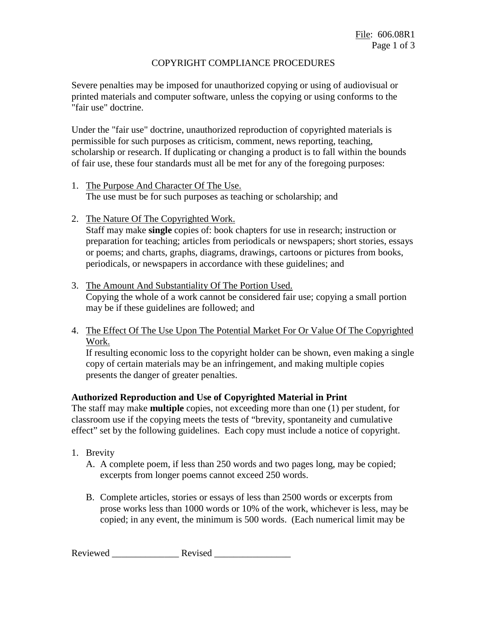## COPYRIGHT COMPLIANCE PROCEDURES

Severe penalties may be imposed for unauthorized copying or using of audiovisual or printed materials and computer software, unless the copying or using conforms to the "fair use" doctrine.

Under the "fair use" doctrine, unauthorized reproduction of copyrighted materials is permissible for such purposes as criticism, comment, news reporting, teaching, scholarship or research. If duplicating or changing a product is to fall within the bounds of fair use, these four standards must all be met for any of the foregoing purposes:

- 1. The Purpose And Character Of The Use. The use must be for such purposes as teaching or scholarship; and
- 2. The Nature Of The Copyrighted Work. Staff may make **single** copies of: book chapters for use in research; instruction or preparation for teaching; articles from periodicals or newspapers; short stories, essays or poems; and charts, graphs, diagrams, drawings, cartoons or pictures from books, periodicals, or newspapers in accordance with these guidelines; and
- 3. The Amount And Substantiality Of The Portion Used. Copying the whole of a work cannot be considered fair use; copying a small portion may be if these guidelines are followed; and
- 4. The Effect Of The Use Upon The Potential Market For Or Value Of The Copyrighted Work.

If resulting economic loss to the copyright holder can be shown, even making a single copy of certain materials may be an infringement, and making multiple copies presents the danger of greater penalties.

## **Authorized Reproduction and Use of Copyrighted Material in Print**

The staff may make **multiple** copies, not exceeding more than one (1) per student, for classroom use if the copying meets the tests of "brevity, spontaneity and cumulative effect" set by the following guidelines. Each copy must include a notice of copyright.

- 1. Brevity
	- A. A complete poem, if less than 250 words and two pages long, may be copied; excerpts from longer poems cannot exceed 250 words.
	- B. Complete articles, stories or essays of less than 2500 words or excerpts from prose works less than 1000 words or 10% of the work, whichever is less, may be copied; in any event, the minimum is 500 words. (Each numerical limit may be

Reviewed Revised Revised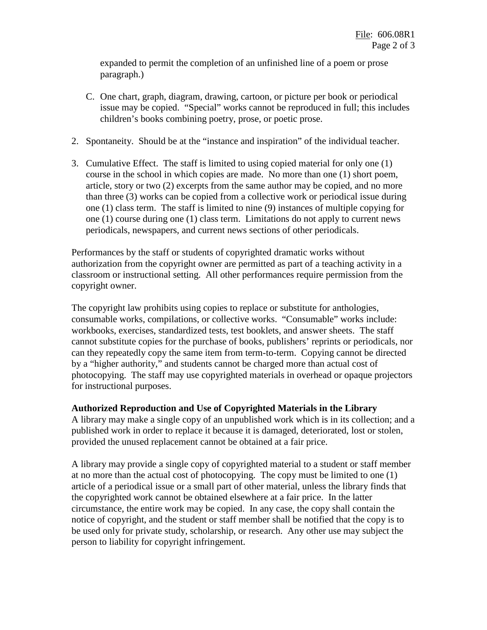expanded to permit the completion of an unfinished line of a poem or prose paragraph.)

- C. One chart, graph, diagram, drawing, cartoon, or picture per book or periodical issue may be copied. "Special" works cannot be reproduced in full; this includes children's books combining poetry, prose, or poetic prose.
- 2. Spontaneity. Should be at the "instance and inspiration" of the individual teacher.
- 3. Cumulative Effect. The staff is limited to using copied material for only one (1) course in the school in which copies are made. No more than one (1) short poem, article, story or two (2) excerpts from the same author may be copied, and no more than three (3) works can be copied from a collective work or periodical issue during one (1) class term. The staff is limited to nine (9) instances of multiple copying for one (1) course during one (1) class term. Limitations do not apply to current news periodicals, newspapers, and current news sections of other periodicals.

Performances by the staff or students of copyrighted dramatic works without authorization from the copyright owner are permitted as part of a teaching activity in a classroom or instructional setting. All other performances require permission from the copyright owner.

The copyright law prohibits using copies to replace or substitute for anthologies, consumable works, compilations, or collective works. "Consumable" works include: workbooks, exercises, standardized tests, test booklets, and answer sheets. The staff cannot substitute copies for the purchase of books, publishers' reprints or periodicals, nor can they repeatedly copy the same item from term-to-term. Copying cannot be directed by a "higher authority," and students cannot be charged more than actual cost of photocopying. The staff may use copyrighted materials in overhead or opaque projectors for instructional purposes.

## **Authorized Reproduction and Use of Copyrighted Materials in the Library**

A library may make a single copy of an unpublished work which is in its collection; and a published work in order to replace it because it is damaged, deteriorated, lost or stolen, provided the unused replacement cannot be obtained at a fair price.

A library may provide a single copy of copyrighted material to a student or staff member at no more than the actual cost of photocopying. The copy must be limited to one (1) article of a periodical issue or a small part of other material, unless the library finds that the copyrighted work cannot be obtained elsewhere at a fair price. In the latter circumstance, the entire work may be copied. In any case, the copy shall contain the notice of copyright, and the student or staff member shall be notified that the copy is to be used only for private study, scholarship, or research. Any other use may subject the person to liability for copyright infringement.